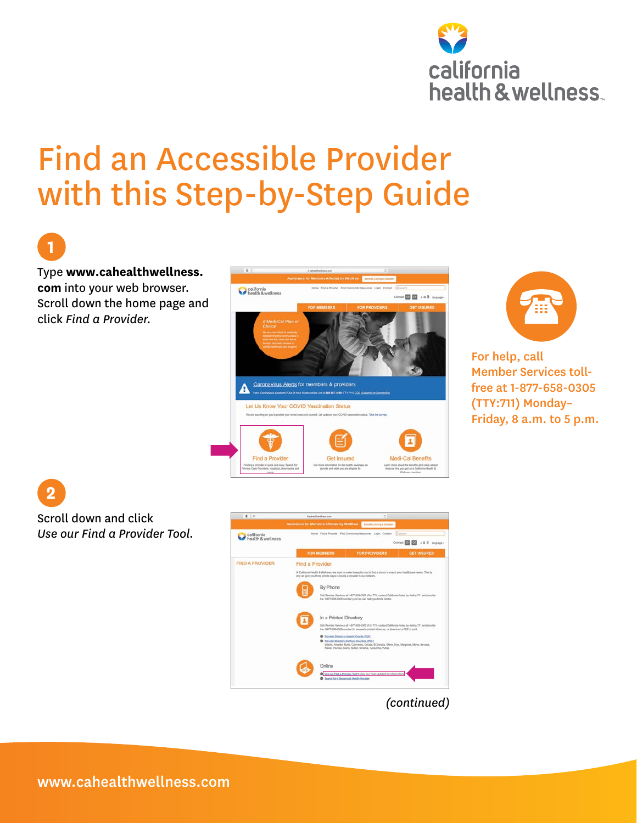

# Find an Accessible Provider with this Step-by-Step Guide



Type **www.cahealthwellness. [com](http://www.cahealthwellness.com)** into your web browser. Scroll down the home page and click *Find a Provider.* 





For help, call Member Services tollfree at 1-877-658-0305 (TTY:711) Monday– Friday, 8 a.m. to 5 p.m.

**2**

Scroll down and click *Use our Find a Provider Tool.* 



*(continued)*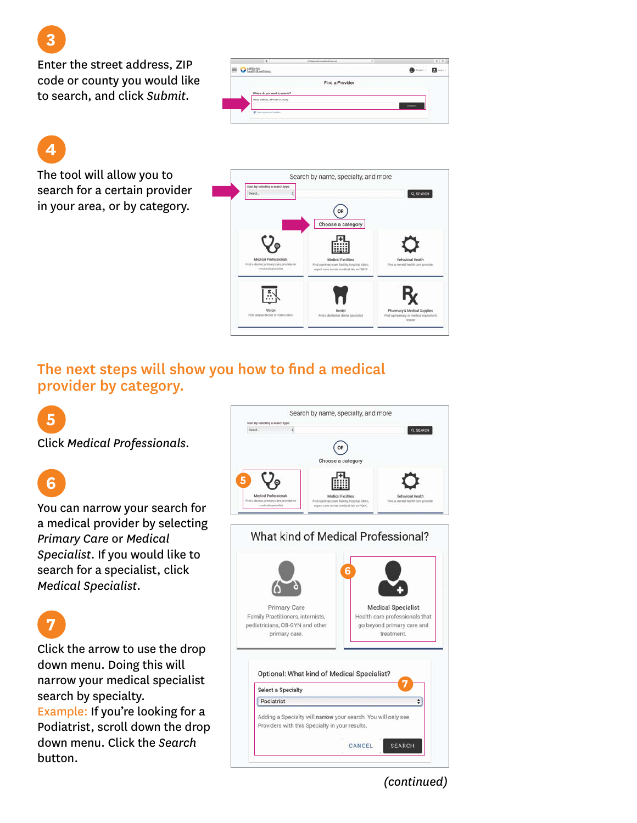**3**

Enter the street address, ZIP code or county you would like to search, and click *Submit.* 



## **4**

The tool will allow you to search for a certain provider in your area, or by category.



### The next steps will show you how to find a medical provider by category.

## **5**

Click *Medical Professionals.* 

You can narrow your search for a medical provider by selecting *Primary Care* or *Medical Specialist*. If you would like to search for a specialist, click *Medical Specialist*.

**7**

Click the arrow to use the drop down menu. Doing this will narrow your medical specialist search by specialty.

Example: If you're looking for a Podiatrist, scroll down the drop down menu. Click the *Search*  button.